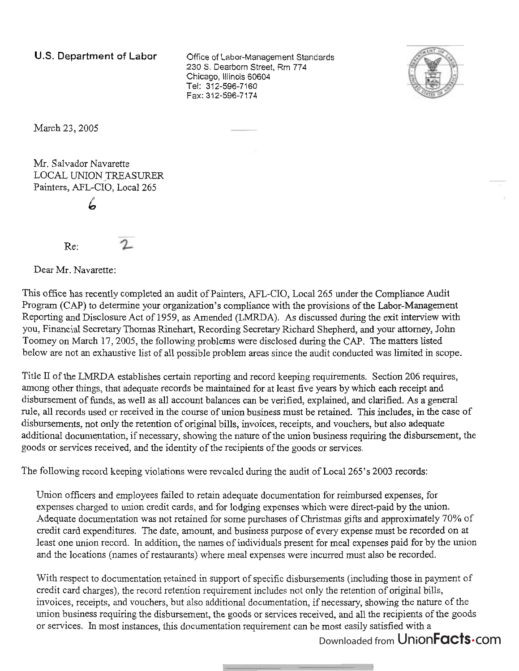**U.S. Department** of **Labor** Office of Labor-Management Standards 230 S. Dearborn Street, Rm 774 Chicago, Illinois 60604 Tel: 312-596-7160 Fax: 312-596-7174



March 23, 2005

Mr. Salvador Navarette LOCAL UNION TREASURER Painters, AFL-CIO, Local 265 *6* 

Re:

Dear Mr. Navarette:

This office has recently completed **an** audit of Painters, AFL-CIO, Local 265 under the Compliance Audit Program (CAP) to determine your organization's compliance with the provisions of the Labor-Management Reporting and Disclosure Act of 1959, as Amended (LMRDA). As discussed during the exit interview with you, Financial Secretary Thomas Rinehart, Recording Secretary Richard Shepherd, and your attorney, John Toomey on March 17, 2005, the following problems were disclosed during the CAP. The matters listed below are not an exhaustive list of all possible problem areas since the audit conducted was limited in scope.

Title II of the LMRDA establishes certain reporting and record keeping requirements. Section 206 requires, among other things, that adequate records be maintained for at least five years by which each receipt and disbursement of funds, as well as all account balances can be verified, explained, and clarified. As a general rule, all records used or received in the course of union business must be retained. This includes, in the case of disbursements, not only the retention of original bills, invoices, receipts, and vouchers, but also adequate additional documentation, if necessary, showing the nature of the union business requiring the disbursement, the goods or services received, and the identity of the recipients of the goods or services.

The following record keeping violations were revealed during the audit of Local 265's 2003 records:

Union officers and employees failed to retain adequate documentation for reimbursed expenses, for expenses charged to union credit cards, and for lodging expenses which were direct-paid by the union. Adequate documentation was not retained for some purchases of Christmas gifts and approximately 70% of credit card expenditures. The date, amount, and business purpose of every expense must be recorded on at least one union record. In addition, the names of individuals present for meal expenses paid for by the union and the locations (names of restaurants) where meal expenses were incurred must also be recorded.

With respect to documentation retained in support of specific disbursements (including those in payment of credit card charges), the record retention requirement includes not only the retention of original bills, invoices, receipts, and vouchers, but also additional documentation, if necessary, showing the nature of the union business requiring the disbursement, the goods or services received, and all the recipients of the goods or services. In most instances, this documentation requirement can be most easily satisfied with a

Downloaded from UnionFacts.com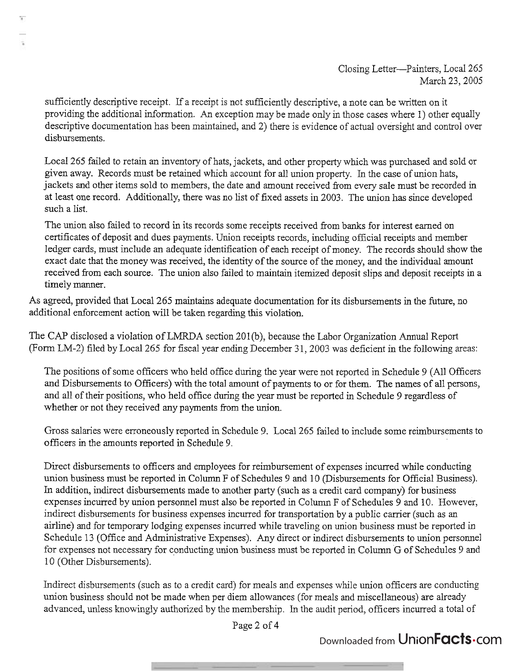sufficiently descriptive receipt. If a receipt is not sufficiently descriptive, a note can be written on it providing the additional infomation. An exception may be made only in those cases where 1) other equally descriptive documentation has been maintained, and 2) there is evidence of actual oversight and control over disbursements.

Local 265 failed to retain an inventory of hats, jackets, and other property which was purchased and sold or given away. Records must be retained which account for all union property. In the case of union hats, jackets and other items sold to members, the date and amount received from every sale must be recorded in at least one record. Additionally, there was no list of fixed assets in 2003. The union has since developed such a list.

The union also failed to record in its records some receipts received fiom banks for interest earned on certificates of deposit and dues payments. Union receipts records, including official receipts and member ledger cards, must include an adequate identification of each receipt of money. The records should show the exact date that the money was received, the identity of the source of the money, and the individual amount received fiom each source. The union also failed to maintain itemized deposit slips and deposit receipts in a timely manner.

As agreed, provided that Local 265 maintains adequate documentation for its disbursements in the hture, no additional enforcement action will be taken regarding this violation.

The CAP disclosed a violation of LMRDA section 201(b), because the Labor Organization Annual Report (Form LM-2) filed by Local 265 for fiscal year ending December 31, 2003 was deficient in the following areas:

The positions of some officers who held office during the year were not reported in Schedule 9 (All Officers and Disbursements to Officers) with the total amount of payments to or for them. The names of all persons, and all of their positions, who held office during the year must be reported in Schedule 9 regardless of whether or not they received any payments from the union.

Gross salaries were erroneously reported in Schedule 9. Local 265 failed to include some reimbursements to officers in the amounts reported in Schedule 9.

Direct disbursements to officers and employees for reimbursement of expenses incurred while conducting union business must be reported in Column F of Schedules 9 and 10 (Disbursements for Official Business). In addition, indirect disbursements made to another party (such as a credit card company) for business expenses incurred by union personnel must also be reported in Column F of Schedules 9 and 10. However, indirect disbursements for business expenses incurred for transportation by a public carrier (such as an airline) and for temporary lodging expenses incurred while traveling on union business must be reported in Schedule 13 (Office and Administrative Expenses). Any direct or indirect disbursements to union personnel for expenses not necessary for conducting union business must be reported in Column G of Schedules 9 and 1 0 (Other Disbursements).

Indirect disbursements (such as to a credit card) for meals and expenses while union officers are conducting union business should not be made when per diem allowances (for meals and miscellaneous) are already advanced, unless knowingly authorized by the membership. In the audit period, officers incurred a total of

Page 2 of 4

## Downloaded from Union**Facts** Com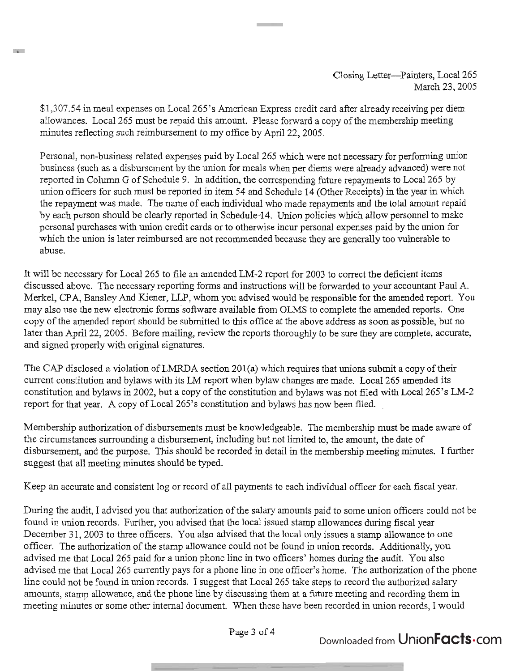\$1,3 07.54 in meal expenses on Local 265's American Express credit card after already receiving per diem allowances. Local 265 must be repaid this amount. Please forward a copy of the membership meeting minutes reflecting such reimbursement to my office by April 22,2005.

**The Co** 

Personal, non-business related expenses paid by Local 265 which were not necessary for performing union business (such as a disbursement by the union for meals when per diems were already advanced) were not reported in Column G of Schedule 9. In addition, the corresponding future repayments to Local 265 by union officers for such must be reported in item 54 and Schedule 14 (Other Receipts) in the year in which the repayment was made. The name of each individual who made repayments and the total amount repaid by each person should be clearly reported in Schedule-14. Union policies which allow personnel to make personal purchases with union credit cards or to otherwise incur personal expenses paid by the union for which the union is later reimbursed are not recommended because they are generally too vulnerable to abuse.

It will be necessary for Local 265 to file an amended LM-2 report for 2003 to correct the deficient items discussed above. The necessary reporting forms and instructions will be forwarded to your accountant Paul A. Merkel, CPA, Bansley And Kiener, LLP, whom you advised would be responsible for the amended report. You may also use the new electronic forms software available from OLMS to complete the amended reports. One copy of the amended report should be submitted to this office at the above address as soon as possible, but no later than April 22, 2005. Before mailing, review the reports thoroughly to be sure they are complete, accurate, and signed properly with original signatures.

The CAP disclosed a violation of LMRDA section 201(a) which requires that unions submit a copy of their current constitution and bylaws with its LM report when bylaw changes are made. Local 265 amended its constitution and bylaws in 2002, but a copy of the constitution and bylaws was not filed with Local 265's LM-2 'report for that year. A copy of Local 265's constitution and bylaws has now been filed.

Membership authorization of disbursements must be knowledgeable. The membership must be made aware of the circumstances surrounding a disbursement, including but not limited to, the amount, the date of disbursement, and the purpose. This should be recorded in detail in the membership meeting minutes. I further suggest that all meeting minutes should be typed.

Keep an accurate and consistent log or record of all payments to each individual officer for each fiscal year.

During the audit, I advised you that authorization of the salary amounts paid to some union officers could not be found in union records. Futher, you advised that the local issued stamp allowances during fiscal year December 31, 2003 to three officers. You also advised that the local only issues a stamp allowance to one officer. The authorization of the stamp allowance could not be found in union records. Additionally, you advised me that Local 265 paid for a union phone line in two officers' homes during the audit. You also advised me that Local 265 currently pays for a phone line in one officer's home. The authorization of the phone line could not be found in union records. I suggest that Local 265 take steps to record the authorized salary amounts, stamp allowance, and the phone line by discussing them at a future meeting and recording them in meeting minutes or some other internal document. When these have been recorded in union records, I would

Page 3 of 4

Downloaded from Union**Facts** Com